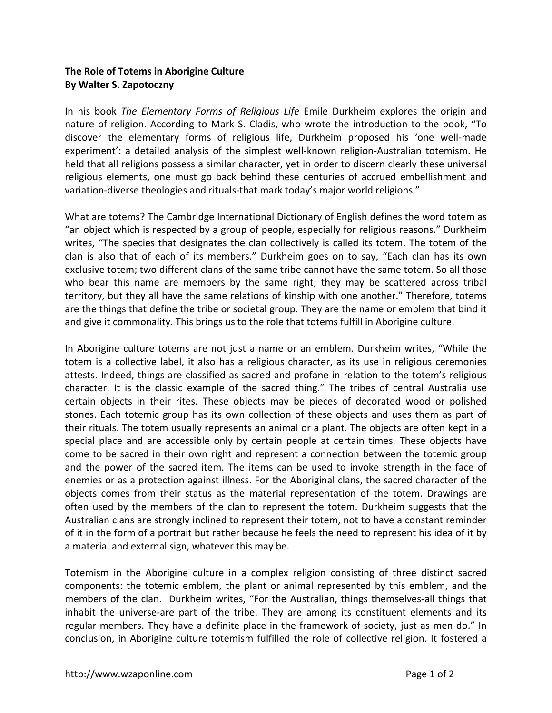## **The Role of Totems in Aborigine Culture By Walter S. Zapotoczny**

In his book *The Elementary Forms of Religious Life* Emile Durkheim explores the origin and nature of religion. According to Mark S. Cladis, who wrote the introduction to the book, "To discover the elementary forms of religious life, Durkheim proposed his 'one well-made experiment': a detailed analysis of the simplest well-known religion-Australian totemism. He held that all religions possess a similar character, yet in order to discern clearly these universal religious elements, one must go back behind these centuries of accrued embellishment and variation-diverse theologies and rituals-that mark today's major world religions."

What are totems? The Cambridge International Dictionary of English defines the word totem as "an object which is respected by a group of people, especially for religious reasons." Durkheim writes, "The species that designates the clan collectively is called its totem. The totem of the clan is also that of each of its members." Durkheim goes on to say, "Each clan has its own exclusive totem; two different clans of the same tribe cannot have the same totem. So all those who bear this name are members by the same right; they may be scattered across tribal territory, but they all have the same relations of kinship with one another." Therefore, totems are the things that define the tribe or societal group. They are the name or emblem that bind it and give it commonality. This brings us to the role that totems fulfill in Aborigine culture.

In Aborigine culture totems are not just a name or an emblem. Durkheim writes, "While the totem is a collective label, it also has a religious character, as its use in religious ceremonies attests. Indeed, things are classified as sacred and profane in relation to the totem's religious character. It is the classic example of the sacred thing." The tribes of central Australia use certain objects in their rites. These objects may be pieces of decorated wood or polished stones. Each totemic group has its own collection of these objects and uses them as part of their rituals. The totem usually represents an animal or a plant. The objects are often kept in a special place and are accessible only by certain people at certain times. These objects have come to be sacred in their own right and represent a connection between the totemic group and the power of the sacred item. The items can be used to invoke strength in the face of enemies or as a protection against illness. For the Aboriginal clans, the sacred character of the objects comes from their status as the material representation of the totem. Drawings are often used by the members of the clan to represent the totem. Durkheim suggests that the Australian clans are strongly inclined to represent their totem, not to have a constant reminder of it in the form of a portrait but rather because he feels the need to represent his idea of it by a material and external sign, whatever this may be.

Totemism in the Aborigine culture in a complex religion consisting of three distinct sacred components: the totemic emblem, the plant or animal represented by this emblem, and the members of the clan. Durkheim writes, "For the Australian, things themselves-all things that inhabit the universe-are part of the tribe. They are among its constituent elements and its regular members. They have a definite place in the framework of society, just as men do." In conclusion, in Aborigine culture totemism fulfilled the role of collective religion. It fostered a